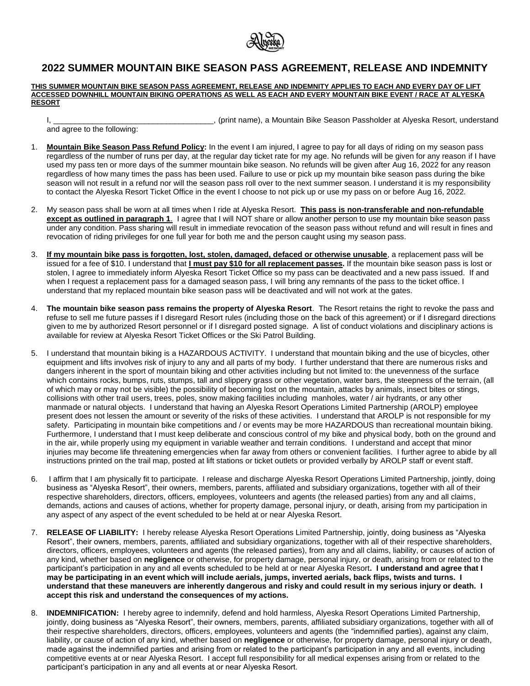

## **2022 SUMMER MOUNTAIN BIKE SEASON PASS AGREEMENT, RELEASE AND INDEMNITY**

**THIS SUMMER MOUNTAIN BIKE SEASON PASS AGREEMENT, RELEASE AND INDEMNITY APPLIES TO EACH AND EVERY DAY OF LIFT ACCESSED DOWNHILL MOUNTAIN BIKING OPERATIONS AS WELL AS EACH AND EVERY MOUNTAIN BIKE EVENT / RACE AT ALYESKA RESORT**

I, The Season Passholder at Alyeska Resort, understand in the Season Passholder at Alyeska Resort, understand

and agree to the following:

- 1. **Mountain Bike Season Pass Refund Policy:** In the event I am injured, I agree to pay for all days of riding on my season pass regardless of the number of runs per day, at the regular day ticket rate for my age. No refunds will be given for any reason if I have used my pass ten or more days of the summer mountain bike season. No refunds will be given after Aug 16, 2022 for any reason regardless of how many times the pass has been used. Failure to use or pick up my mountain bike season pass during the bike season will not result in a refund nor will the season pass roll over to the next summer season. I understand it is my responsibility
- 2. My season pass shall be worn at all times when I ride at Alyeska Resort. **This pass is non-transferable and non-refundable except as outlined in paragraph 1**. I agree that I will NOT share or allow another person to use my mountain bike season pass under any condition. Pass sharing will result in immediate revocation of the season pass without refund and will result in fines and revocation of riding privileges for one full year for both me and the person caught using my season pass.

to contact the Alyeska Resort Ticket Office in the event I choose to not pick up or use my pass on or before Aug 16, 2022.

- 3. **If my mountain bike pass is forgotten, lost, stolen, damaged, defaced or otherwise unusable**, a replacement pass will be issued for a fee of \$10. I understand that **I must pay \$10 for all replacement passes.** If the mountain bike season pass is lost or stolen, I agree to immediately inform Alyeska Resort Ticket Office so my pass can be deactivated and a new pass issued. If and when I request a replacement pass for a damaged season pass, I will bring any remnants of the pass to the ticket office. I understand that my replaced mountain bike season pass will be deactivated and will not work at the gates.
- 4. **The mountain bike season pass remains the property of Alyeska Resort**. The Resort retains the right to revoke the pass and refuse to sell me future passes if I disregard Resort rules (including those on the back of this agreement) or if I disregard directions given to me by authorized Resort personnel or if I disregard posted signage. A list of conduct violations and disciplinary actions is available for review at Alyeska Resort Ticket Offices or the Ski Patrol Building.
- 5. I understand that mountain biking is a HAZARDOUS ACTIVITY. I understand that mountain biking and the use of bicycles, other equipment and lifts involves risk of injury to any and all parts of my body. I further understand that there are numerous risks and dangers inherent in the sport of mountain biking and other activities including but not limited to: the unevenness of the surface which contains rocks, bumps, ruts, stumps, tall and slippery grass or other vegetation, water bars, the steepness of the terrain, (all of which may or may not be visible) the possibility of becoming lost on the mountain, attacks by animals, insect bites or stings, collisions with other trail users, trees, poles, snow making facilities including manholes, water / air hydrants, or any other manmade or natural objects. I understand that having an Alyeska Resort Operations Limited Partnership (AROLP) employee present does not lessen the amount or severity of the risks of these activities. I understand that AROLP is not responsible for my safety. Participating in mountain bike competitions and / or events may be more HAZARDOUS than recreational mountain biking. Furthermore, I understand that I must keep deliberate and conscious control of my bike and physical body, both on the ground and in the air, while properly using my equipment in variable weather and terrain conditions. I understand and accept that minor injuries may become life threatening emergencies when far away from others or convenient facilities. I further agree to abide by all instructions printed on the trail map, posted at lift stations or ticket outlets or provided verbally by AROLP staff or event staff.
- 6. I affirm that I am physically fit to participate. I release and discharge Alyeska Resort Operations Limited Partnership, jointly, doing business as "Alyeska Resort", their owners, members, parents, affiliated and subsidiary organizations, together with all of their respective shareholders, directors, officers, employees, volunteers and agents (the released parties) from any and all claims, demands, actions and causes of actions, whether for property damage, personal injury, or death, arising from my participation in any aspect of any aspect of the event scheduled to be held at or near Alyeska Resort.
- 7. **RELEASE OF LIABILITY:** I hereby release Alyeska Resort Operations Limited Partnership, jointly, doing business as "Alyeska Resort", their owners, members, parents, affiliated and subsidiary organizations, together with all of their respective shareholders, directors, officers, employees, volunteers and agents (the released parties), from any and all claims, liability, or causes of action of any kind, whether based on **negligence** or otherwise, for property damage, personal injury, or death, arising from or related to the participant's participation in any and all events scheduled to be held at or near Alyeska Resort**. I understand and agree that I may be participating in an event which will include aerials, jumps, inverted aerials, back flips, twists and turns. I understand that these maneuvers are inherently dangerous and risky and could result in my serious injury or death. I accept this risk and understand the consequences of my actions.**
- 8. **INDEMNIFICATION:** I hereby agree to indemnify, defend and hold harmless, Alyeska Resort Operations Limited Partnership, jointly, doing business as "Alyeska Resort", their owners, members, parents, affiliated subsidiary organizations, together with all of their respective shareholders, directors, officers, employees, volunteers and agents (the "indemnified parties), against any claim, liability, or cause of action of any kind, whether based on **negligence** or otherwise, for property damage, personal injury or death, made against the indemnified parties and arising from or related to the participant's participation in any and all events, including competitive events at or near Alyeska Resort. I accept full responsibility for all medical expenses arising from or related to the participant's participation in any and all events at or near Alyeska Resort.